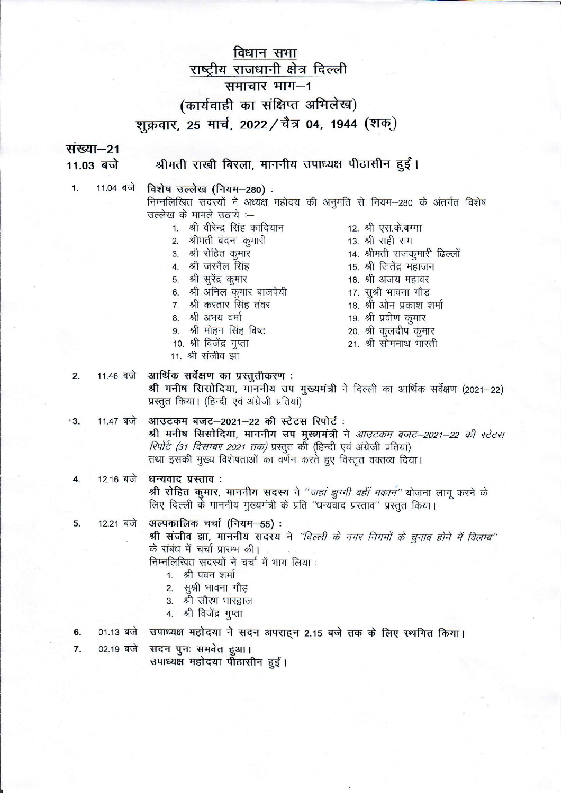# विधान सभा राष्ट्रीय राजधानी क्षेत्र दिल्ली समाचार भाग-1 (कार्यवाही का संक्षिप्त अभिलेख) शुक्रवार, 25 मार्च, 2022 / चैत्र 04, 1944 (शक्)

संख्या-21 11.03 बजे

## श्रीमती राखी बिरला, माननीय उपाध्यक्ष पीठासीन हुईं।

11.04 बजे  $\mathbf 1$ 

विशेष उल्लेख (नियम-280): निम्नलिखित सदस्यों ने अध्यक्ष महोदय की अनुमति से नियम-280 के अंतर्गत विशेष उल्लेख के मामले उठाये :--

- 1. श्री वीरेन्द्र सिंह कादियान
- 2. श्रीमती बंदना कुमारी
- 3. श्री रोहित कमार
- 4. श्री जरनैल सिंह
- 5. श्री सूरेंद्र कुमार
- 6. श्री अनिल कुमार बाजपेयी
- 7. श्री करतार सिंह तंवर
- 8. श्री अभय वर्मा
- 9. श्री मोहन सिंह बिष्ट
- 10. श्री विजेंद्र गुप्ता
- 11. श्री संजीव झा
- 12. श्री एस.के.बग्गा
- 13. श्री सही राम
- 14. श्रीमती राजकूमारी ढिल्लों
- 15. श्री जितेंद्र महाजन
- 16. श्री अजय महावर
- 17. सुश्री भावना गौड़
- 18. श्री ओम प्रकाश शर्मा
- 19. श्री प्रवीण कूमार
- 20. श्री कुलदीप कुमार
- 21. श्री सोमनाथ भारती

11.46 बजे आर्थिक सर्वेक्षण का प्रस्तुतीकरण : श्री मनीष सिसोदिया, माननीय उप मुख्यमंत्री ने दिल्ली का आर्थिक सर्वेक्षण (2021-22) प्रस्तुत किया। (हिन्दी एवं अंग्रेजी प्रतियां)

- 11.47 बजे आउटकम बजट-2021-22 की स्टेटस रिपोर्ट:  $^*3$ श्री मनीष सिसोदिया, माननीय उप मुख्यमंत्री ने आउटकम बजट-2021-22 की स्टेटस *रिपोर्ट (31 दिसम्बर 2021 तक)* प्रस्तुत की (हिन्दी एवं अंग्रेजी प्रतियां) तथा इसकी मुख्य विशेषताओं का वर्णन करते हुए विस्तृत वक्तव्य दिया।
- 12.16 बजे धन्यवाद प्रस्ताव: 4. श्री रोहित कुमार, माननीय सदस्य ने "*जहां झुग्गी वहीं मकान"* योजना लागू करने के लिए दिल्ली के माननीय मुख्यमंत्री के प्रति "धन्यवाद प्रस्ताव" प्रस्तुत किया।

अल्पकालिक चर्चा (नियम-55) : 12.21 बजे 5.

> श्री संजीव झा, माननीय सदस्य ने "दिल्ली के नगर निगमों के चुनाव होने में विलम्ब" के संबंध में चर्चा प्रारम्भ की।

निम्नलिखित सदस्यों ने चर्चा में भाग लिया :

- 1. श्री पवन शर्मा
- 2. सुश्री भावना गौड
- 3. श्री सौरभ भारद्वाज
- 4. श्री विजेंद्र गुप्ता
- उपाध्यक्ष महोदया ने सदन अपराहन 2.15 बजे तक के लिए स्थगित किया। 6. 01.13 बजे
- $02.19$  बजे सदन पुनः समवेत हुआ।  $\overline{7}$ .

उपाध्यक्ष महोदया पीठासीन हुईं।

 $2.$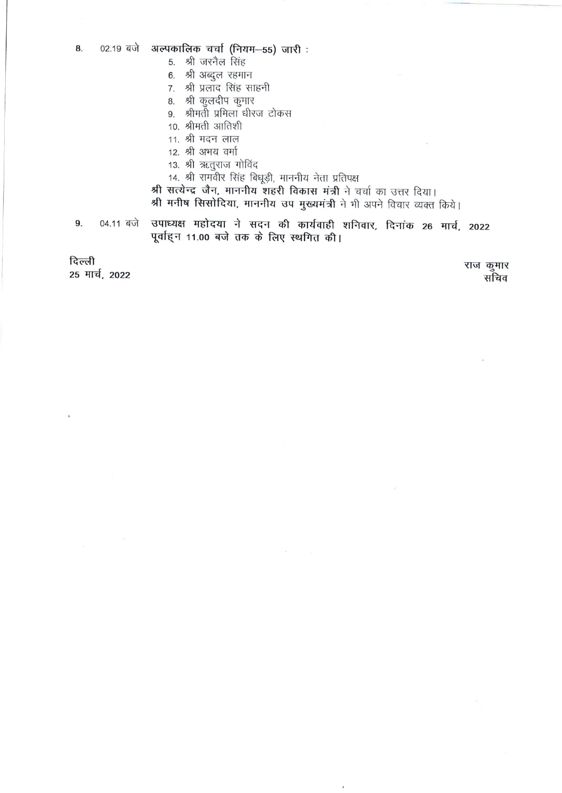- 5. श्री जरनैल सिंह
- 6. श्री अब्दुल रहमान
- 7. श्री प्रलाद सिंह साहनी
- 8. श्री कुलदीप कुमार
- 9. श्रीमती प्रमिला धीरज टोकस
- 10. श्रीमती आतिशी
- 11. श्री मदन लाल
- 12. श्री अभय वर्मा
- 13. श्री ऋतुराज गोविंद
- 14. श्री रामवीर सिंह बिधूड़ी, माननीय नेता प्रतिपक्ष

श्री सत्येन्द्र जैन, माननीय शहरी विकास मंत्री ने चर्चा का उत्तर दिया। श्री मनीष सिसोदिया, माननीय उप मुख्यमंत्री ने भी अपने विचार व्यक्त किये।

उपाध्यक्ष महोदया ने सदन की कार्यवाही शनिवार, दिनांक 26 मार्च, 2022 9. 04.11 बजे पूर्वाह्न 11.00 बजे तक के लिए स्थगित की।

दिल्ली 25 मार्च, 2022

राज कुमार सचिव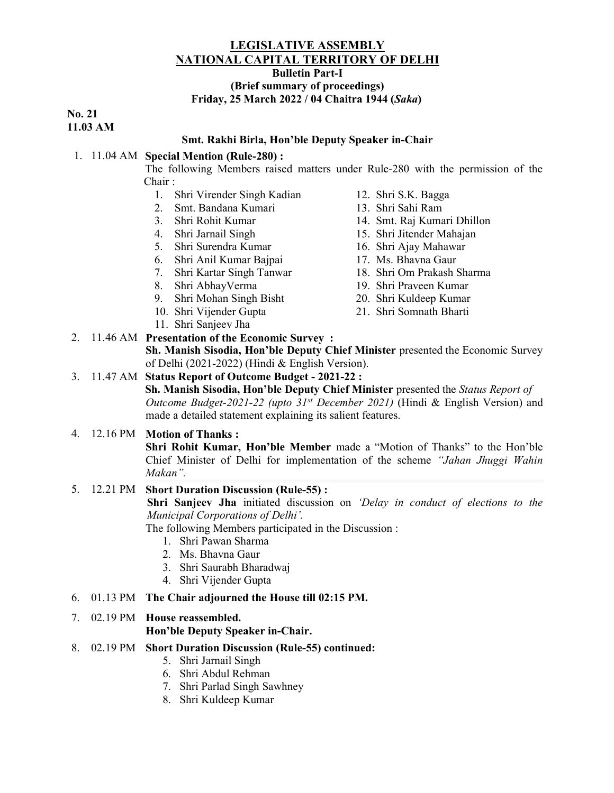## LEGISLATIVE ASSEMBLY NATIONAL CAPITAL TERRITORY OF DELHI

Bulletin Part-I

#### (Brief summary of proceedings) Friday, 25 March 2022 / 04 Chaitra 1944 (Saka)

No. 21 11.03 AM

#### Smt. Rakhi Birla, Hon'ble Deputy Speaker in-Chair

#### 1. 11.04 AM Special Mention (Rule-280) :

The following Members raised matters under Rule-280 with the permission of the Chair :

- 1. Shri Virender Singh Kadian
- 2. Smt. Bandana Kumari
- 3. Shri Rohit Kumar
- 4. Shri Jarnail Singh
- 5. Shri Surendra Kumar
- 6. Shri Anil Kumar Bajpai
- 7. Shri Kartar Singh Tanwar
- 8. Shri AbhayVerma
- 9. Shri Mohan Singh Bisht 10. Shri Vijender Gupta
- 12. Shri S.K. Bagga
- 13. Shri Sahi Ram
- 14. Smt. Raj Kumari Dhillon
- 15. Shri Jitender Mahajan
- 16. Shri Ajay Mahawar
- 17. Ms. Bhavna Gaur
- 18. Shri Om Prakash Sharma
- 19. Shri Praveen Kumar
- 20. Shri Kuldeep Kumar
- 21. Shri Somnath Bharti
- 11. Shri Sanjeev Jha 2. 11.46 AM Presentation of the Economic Survey :

Sh. Manish Sisodia, Hon'ble Deputy Chief Minister presented the Economic Survey of Delhi (2021-2022) (Hindi & English Version).

#### 3. 11.47 AM Status Report of Outcome Budget - 2021-22 :

Sh. Manish Sisodia, Hon'ble Deputy Chief Minister presented the Status Report of Outcome Budget-2021-22 (upto  $31^{st}$  December 2021) (Hindi & English Version) and made a detailed statement explaining its salient features.

## 4. 12.16 PM Motion of Thanks :

Shri Rohit Kumar, Hon'ble Member made a "Motion of Thanks" to the Hon'ble Chief Minister of Delhi for implementation of the scheme "Jahan Jhuggi Wahin Makan".

#### 5. 12.21 PM Short Duration Discussion (Rule-55) :

Shri Sanjeev Jha initiated discussion on 'Delay in conduct of elections to the Municipal Corporations of Delhi'.

The following Members participated in the Discussion :

- 1. Shri Pawan Sharma
- 2. Ms. Bhavna Gaur
- 3. Shri Saurabh Bharadwaj
- 4. Shri Vijender Gupta
- 6. 01.13 PM The Chair adjourned the House till 02:15 PM.
- 7. 02.19 PM House reassembled.

Hon'ble Deputy Speaker in-Chair.

- 8. 02.19 PM Short Duration Discussion (Rule-55) continued:
	- 5. Shri Jarnail Singh
	- 6. Shri Abdul Rehman
	- 7. Shri Parlad Singh Sawhney
	- 8. Shri Kuldeep Kumar